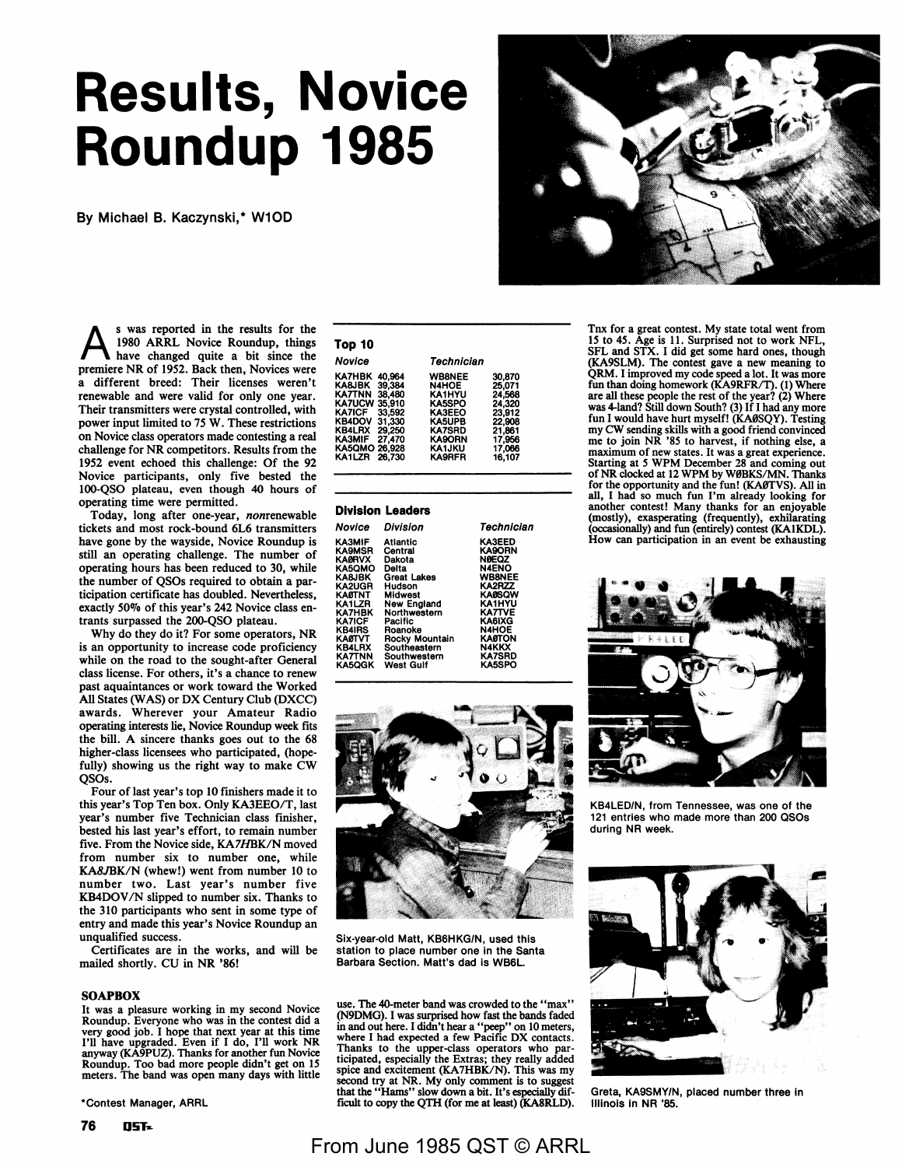# **Results, Novice Roundup 1985**

By Michael B. Kaczynski,\* W10D

A s was reported in the results for the 1980 ARRL Novice Roundup, things have changed quite a bit since the premiere NR of 1952. Back then, Novices were a different breed: Their licenses weren't renewable and were valid for only one year. Their transmitters were crystal controlled, with power input limited to 75 W. These restrictions on Novice class operators made contesting a real challenge for **NR** competitors. Results from the 1952 event echoed this challenge: Of the 92 Novice participants, only five bested the 100-QSO plateau, even though 40 hours of operating time were permitted.

Today, long after one-year, nonrenewable tickets and most rock-bound 6L6 transmitters have gone by the wayside, Novice Roundup is still an operating challenge. The number of operating hours has been reduced to 30, while the number of QSOs required to obtain a participation certificate has doubled. Nevertheless, exactly 50% of this year's 242 Novice class entrants surpassed the 200-QSO plateau.

Why do they do it? For some operators, NR is an opportunity to increase code proficiency while on the road to the sought-after General class license. For others, it's a chance to renew past aquaintances or work toward the Worked All States (WAS) or DX Century Club (DXCC) awards. Wherever your Amateur Radio operating interests lie, Novice Roundup week fits the bill. A sincere thanks goes out to the 68 higher-class licensees who participated, (hopefully) showing us the right way to make CW QSOs.

Four of last year's top 10 finishers made it to this year's Top Ten box. Only KA3EEO/T, last year's number five Technician class finisher, bested his last year's effort, to remain number five. From the Novice side, KA7HBK/N moved from number six to number one, while KA8JBK/N (whew!) went from number 10 to number two. Last year's number five KB4DOV/N slipped to number six. Thanks to the 310 participants who sent in some type of entry and made this year's Novice Roundup an unqualified success.

Certificates are in the works, and will be mailed shortly. CU in NR '86!

### **SOAPBOX**

It was a pleasure working in my second Novice Roundup. Everyone who was in the contest did a very good job. I hope that next year at this time I'll have upgraded. Even if I do, I'll work NR anyway (KA9PUZ). Thanks for another fun Novice Roundup. Too bad more people didn't get on 15 meters. The band was open many days with little

\*Contest Manager, ARRL

| Top 10                                                                                                          |                                                                                        |                                                                                                                                                  |                                                                                                  |
|-----------------------------------------------------------------------------------------------------------------|----------------------------------------------------------------------------------------|--------------------------------------------------------------------------------------------------------------------------------------------------|--------------------------------------------------------------------------------------------------|
| Novice                                                                                                          |                                                                                        | Technician                                                                                                                                       |                                                                                                  |
| KA7HBK<br>KA8JBK<br>KA7TNN<br>KA7UCW<br>KA7ICF.<br><b>KB4DOV</b><br>KB4LRX<br>KA3MIF<br>KA5QMO 26.928<br>KA1LZR | 40.964<br>39.384<br>38,480<br>35.910<br>33,592<br>31,330<br>29,250<br>27.470<br>26,730 | <b>WB8NEE</b><br><b>N4HOE</b><br>KA1HYU<br>KA5SPO<br>KA3EEO<br><b>KA5UPB</b><br><b>KA7SRD</b><br><b>KA9ORN</b><br><b>KA1JKU</b><br><b>KA9RFR</b> | 30,870<br>25.071<br>24.568<br>24,320<br>23,912<br>22.908<br>21.861<br>17,956<br>17,066<br>16,107 |

#### **Division Leaders**

| Novice        | Division           | Technician    |
|---------------|--------------------|---------------|
| КАЗМІЕ        | Atlantic           | <b>KA3EED</b> |
| <b>KA9MSR</b> | Central            | <b>KA9ORN</b> |
| <b>KA0RVX</b> | Dakota             | <b>NØEOZ</b>  |
| KA5OMO        | Delta              | <b>N4ENO</b>  |
| <b>KABJBK</b> | <b>Great Lakes</b> | <b>WB8NEE</b> |
| KA2UGR        | Hudson             | KA2RZZ        |
| KAØTNT        | <b>Midwest</b>     | <b>KA@SOW</b> |
| KA1LZR        | New England        | <b>KA1HYU</b> |
| KA7HBK        | Northwestern       | <b>KATTVE</b> |
| KA7ICF        | Pacific            | KA6IXG        |
| <b>KB4IRS</b> | Roanoke            | <b>N4HOE</b>  |
| KÅⅆℸ℩℩ℸ       | Rocky Mountain     | KAØTON        |
| <b>KB4LRX</b> | Southeastern       | <b>N4KKX</b>  |
| KA7TNN        | Southwestern       | <b>KA7SRD</b> |
| KA5QGK        | West Gulf          | <b>KA5SPO</b> |



Six-year-old Matt, KB6HKG/N, used this station to place number one in the Santa Barbara Section. Matt's dad is WB6L.

use. The 40-meter band was crowded to the "max" (N9DMG). I was surprised how fast the bands faded in and out here. I didn't hear a "peep" on 10 meters, where I had expected a few Pacific DX contacts. Thanks to the upper-class operators who par-ticipated, especially the Extras; they really added spice and excitement (KA7HBK/N). This was my econd try at NR. My only comment is to suggest that the "Hams" slow down a bit. It's especially dif-ficult to copy the QTH (for me at least) (KASRLD).

Tnx for a great contest. My state total went from 15 to 45. Age is 11. Surprised not to work NFL, SFL and STX. I did get some hard ones, though (KA9SLM). The contest gave a new meaning to<br>QRM. I improved my code speed a lot. It was more fun than doing homework (KA9RFR/T). (1) Where are all these people the rest of the year? (2) Where was 4-land? Still down South? (3) If I had any more fun I would have hurt myself! (KA0SQY). Testing my CW sending skills with a good friend convinced me to join NR '85 to harvest, if nothing else, a maximum of new states. It was a great experience. Starting at *5* WPM December 28 and coming out of NR clocked at 12 WPM by W0BKS/MN. Thanks for the opportunity and the fun! (KA0TVS). All in all, I had so much fun I'm already looking for another contest! Many thanks for an enjoyable (mostly), exasperating (frequently), exhilarating occasionally) and fun (entirely) contest (KA1KDL). How can participation in an event be exhausting



KB4LED/N, from Tennessee, was one of the 121 entries who made more than 200 QSOs during NR week.



Greta, KA9SMYIN, placed number three in Illinois In NR '85.

# From June 1985 QST © ARRL